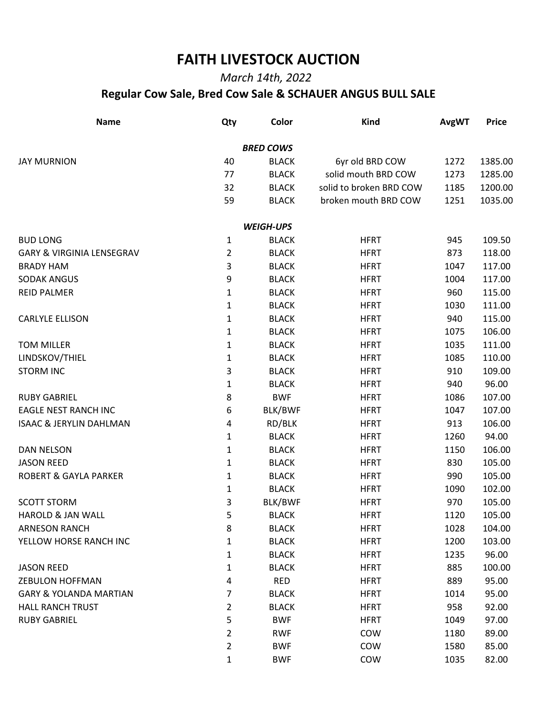## **FAITH LIVESTOCK AUCTION**

## *March 14th, 2022*

## **Regular Cow Sale, Bred Cow Sale & SCHAUER ANGUS BULL SALE**

| <b>Name</b>                          | Qty            | Color            | <b>Kind</b>             | <b>AvgWT</b> | <b>Price</b> |
|--------------------------------------|----------------|------------------|-------------------------|--------------|--------------|
|                                      |                | <b>BRED COWS</b> |                         |              |              |
| <b>JAY MURNION</b>                   | 40             | <b>BLACK</b>     | 6yr old BRD COW         | 1272         | 1385.00      |
|                                      | 77             | <b>BLACK</b>     | solid mouth BRD COW     | 1273         | 1285.00      |
|                                      | 32             | <b>BLACK</b>     | solid to broken BRD COW | 1185         | 1200.00      |
|                                      | 59             | <b>BLACK</b>     | broken mouth BRD COW    | 1251         | 1035.00      |
|                                      |                | <b>WEIGH-UPS</b> |                         |              |              |
| <b>BUD LONG</b>                      | 1              | <b>BLACK</b>     | <b>HFRT</b>             | 945          | 109.50       |
| <b>GARY &amp; VIRGINIA LENSEGRAV</b> | $\overline{2}$ | <b>BLACK</b>     | <b>HFRT</b>             | 873          | 118.00       |
| <b>BRADY HAM</b>                     | 3              | <b>BLACK</b>     | <b>HFRT</b>             | 1047         | 117.00       |
| <b>SODAK ANGUS</b>                   | 9              | <b>BLACK</b>     | <b>HFRT</b>             | 1004         | 117.00       |
| <b>REID PALMER</b>                   | 1              | <b>BLACK</b>     | <b>HFRT</b>             | 960          | 115.00       |
|                                      | 1              | <b>BLACK</b>     | <b>HFRT</b>             | 1030         | 111.00       |
| <b>CARLYLE ELLISON</b>               | 1              | <b>BLACK</b>     | <b>HFRT</b>             | 940          | 115.00       |
|                                      | 1              | <b>BLACK</b>     | <b>HFRT</b>             | 1075         | 106.00       |
| <b>TOM MILLER</b>                    | 1              | <b>BLACK</b>     | <b>HFRT</b>             | 1035         | 111.00       |
| LINDSKOV/THIEL                       | 1              | <b>BLACK</b>     | <b>HFRT</b>             | 1085         | 110.00       |
| <b>STORM INC</b>                     | 3              | <b>BLACK</b>     | <b>HFRT</b>             | 910          | 109.00       |
|                                      | 1              | <b>BLACK</b>     | <b>HFRT</b>             | 940          | 96.00        |
| <b>RUBY GABRIEL</b>                  | 8              | <b>BWF</b>       | <b>HFRT</b>             | 1086         | 107.00       |
| <b>EAGLE NEST RANCH INC</b>          | 6              | BLK/BWF          | <b>HFRT</b>             | 1047         | 107.00       |
| <b>ISAAC &amp; JERYLIN DAHLMAN</b>   | 4              | RD/BLK           | <b>HFRT</b>             | 913          | 106.00       |
|                                      | 1              | <b>BLACK</b>     | <b>HFRT</b>             | 1260         | 94.00        |
| <b>DAN NELSON</b>                    | 1              | <b>BLACK</b>     | <b>HFRT</b>             | 1150         | 106.00       |
| <b>JASON REED</b>                    | 1              | <b>BLACK</b>     | <b>HFRT</b>             | 830          | 105.00       |
| <b>ROBERT &amp; GAYLA PARKER</b>     | 1              | <b>BLACK</b>     | <b>HFRT</b>             | 990          | 105.00       |
|                                      | 1              | <b>BLACK</b>     | <b>HFRT</b>             | 1090         | 102.00       |
| <b>SCOTT STORM</b>                   | 3              | <b>BLK/BWF</b>   | <b>HFRT</b>             | 970          | 105.00       |
| <b>HAROLD &amp; JAN WALL</b>         | 5              | <b>BLACK</b>     | <b>HFRT</b>             | 1120         | 105.00       |
| <b>ARNESON RANCH</b>                 | 8              | <b>BLACK</b>     | <b>HFRT</b>             | 1028         | 104.00       |
| YELLOW HORSE RANCH INC               | 1              | <b>BLACK</b>     | <b>HFRT</b>             | 1200         | 103.00       |
|                                      | 1              | <b>BLACK</b>     | <b>HFRT</b>             | 1235         | 96.00        |
| <b>JASON REED</b>                    | 1              | <b>BLACK</b>     | <b>HFRT</b>             | 885          | 100.00       |
| <b>ZEBULON HOFFMAN</b>               | 4              | <b>RED</b>       | <b>HFRT</b>             | 889          | 95.00        |
| <b>GARY &amp; YOLANDA MARTIAN</b>    | 7              | <b>BLACK</b>     | <b>HFRT</b>             | 1014         | 95.00        |
| <b>HALL RANCH TRUST</b>              | 2              | <b>BLACK</b>     | <b>HFRT</b>             | 958          | 92.00        |
| <b>RUBY GABRIEL</b>                  | 5              | <b>BWF</b>       | <b>HFRT</b>             | 1049         | 97.00        |
|                                      | $\overline{2}$ | <b>RWF</b>       | COW                     | 1180         | 89.00        |
|                                      | $\overline{2}$ | <b>BWF</b>       | COW                     | 1580         | 85.00        |
|                                      | 1              | <b>BWF</b>       | COW                     | 1035         | 82.00        |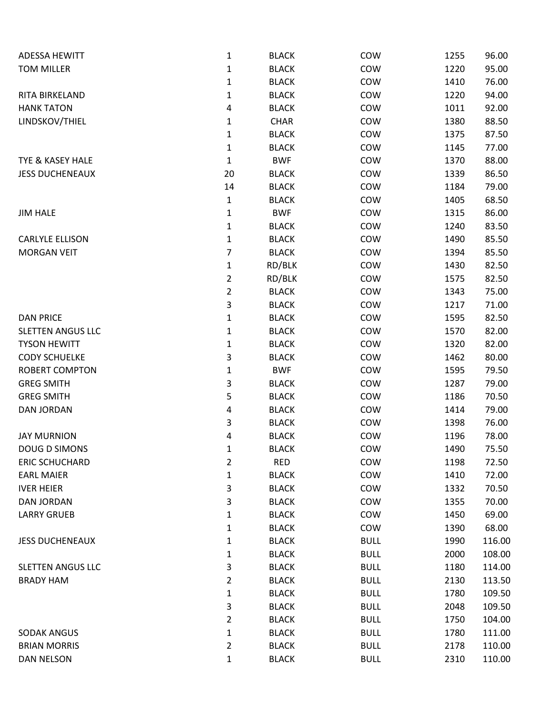| ADESSA HEWITT            | 1                       | <b>BLACK</b> | COW         | 1255 | 96.00  |
|--------------------------|-------------------------|--------------|-------------|------|--------|
| <b>TOM MILLER</b>        | 1                       | <b>BLACK</b> | COW         | 1220 | 95.00  |
|                          | 1                       | <b>BLACK</b> | COW         | 1410 | 76.00  |
| RITA BIRKELAND           | 1                       | <b>BLACK</b> | COW         | 1220 | 94.00  |
| <b>HANK TATON</b>        | 4                       | <b>BLACK</b> | COW         | 1011 | 92.00  |
| LINDSKOV/THIEL           | 1                       | <b>CHAR</b>  | COW         | 1380 | 88.50  |
|                          | 1                       | <b>BLACK</b> | COW         | 1375 | 87.50  |
|                          | 1                       | <b>BLACK</b> | COW         | 1145 | 77.00  |
| TYE & KASEY HALE         | $\mathbf 1$             | <b>BWF</b>   | COW         | 1370 | 88.00  |
| <b>JESS DUCHENEAUX</b>   | 20                      | <b>BLACK</b> | COW         | 1339 | 86.50  |
|                          | 14                      | <b>BLACK</b> | COW         | 1184 | 79.00  |
|                          | 1                       | <b>BLACK</b> | COW         | 1405 | 68.50  |
| <b>JIM HALE</b>          | 1                       | <b>BWF</b>   | COW         | 1315 | 86.00  |
|                          | 1                       | <b>BLACK</b> | COW         | 1240 | 83.50  |
| <b>CARLYLE ELLISON</b>   | 1                       | <b>BLACK</b> | COW         | 1490 | 85.50  |
| <b>MORGAN VEIT</b>       | 7                       | <b>BLACK</b> | COW         | 1394 | 85.50  |
|                          | 1                       | RD/BLK       | COW         | 1430 | 82.50  |
|                          | $\overline{2}$          | RD/BLK       | COW         | 1575 | 82.50  |
|                          | $\overline{\mathbf{c}}$ | <b>BLACK</b> | COW         | 1343 | 75.00  |
|                          | 3                       | <b>BLACK</b> | COW         | 1217 | 71.00  |
| <b>DAN PRICE</b>         | 1                       | <b>BLACK</b> | COW         | 1595 | 82.50  |
| <b>SLETTEN ANGUS LLC</b> | 1                       | <b>BLACK</b> | COW         | 1570 | 82.00  |
| <b>TYSON HEWITT</b>      | 1                       | <b>BLACK</b> | COW         | 1320 | 82.00  |
| <b>CODY SCHUELKE</b>     | 3                       | <b>BLACK</b> | COW         | 1462 | 80.00  |
| <b>ROBERT COMPTON</b>    | 1                       | <b>BWF</b>   | COW         | 1595 | 79.50  |
| <b>GREG SMITH</b>        | 3                       | <b>BLACK</b> | COW         | 1287 | 79.00  |
| <b>GREG SMITH</b>        | 5                       | <b>BLACK</b> | COW         | 1186 | 70.50  |
| DAN JORDAN               | 4                       | <b>BLACK</b> | COW         | 1414 | 79.00  |
|                          | 3                       | <b>BLACK</b> | COW         | 1398 | 76.00  |
| <b>JAY MURNION</b>       | 4                       | <b>BLACK</b> | COW         | 1196 | 78.00  |
| DOUG D SIMONS            | 1                       | <b>BLACK</b> | COW         | 1490 | 75.50  |
| <b>ERIC SCHUCHARD</b>    | 2                       | <b>RED</b>   | COW         | 1198 | 72.50  |
| <b>EARL MAIER</b>        | 1                       | <b>BLACK</b> | COW         | 1410 | 72.00  |
| <b>IVER HEIER</b>        | 3                       | <b>BLACK</b> | COW         | 1332 | 70.50  |
| <b>DAN JORDAN</b>        | 3                       | <b>BLACK</b> | COW         | 1355 | 70.00  |
| <b>LARRY GRUEB</b>       | 1                       | <b>BLACK</b> | COW         | 1450 | 69.00  |
|                          | 1                       | <b>BLACK</b> | COW         | 1390 | 68.00  |
| <b>JESS DUCHENEAUX</b>   | 1                       | <b>BLACK</b> | <b>BULL</b> | 1990 | 116.00 |
|                          | 1                       | <b>BLACK</b> | <b>BULL</b> | 2000 | 108.00 |
| <b>SLETTEN ANGUS LLC</b> | 3                       | <b>BLACK</b> | <b>BULL</b> | 1180 | 114.00 |
| <b>BRADY HAM</b>         | $\overline{2}$          | <b>BLACK</b> | <b>BULL</b> | 2130 | 113.50 |
|                          | 1                       | <b>BLACK</b> | <b>BULL</b> | 1780 | 109.50 |
|                          | 3                       | <b>BLACK</b> | <b>BULL</b> | 2048 | 109.50 |
|                          | $\overline{\mathbf{c}}$ | <b>BLACK</b> | <b>BULL</b> | 1750 | 104.00 |
| <b>SODAK ANGUS</b>       | 1                       | <b>BLACK</b> | <b>BULL</b> | 1780 | 111.00 |
| <b>BRIAN MORRIS</b>      | 2                       | <b>BLACK</b> | <b>BULL</b> | 2178 | 110.00 |
| <b>DAN NELSON</b>        | 1                       | <b>BLACK</b> | <b>BULL</b> | 2310 | 110.00 |